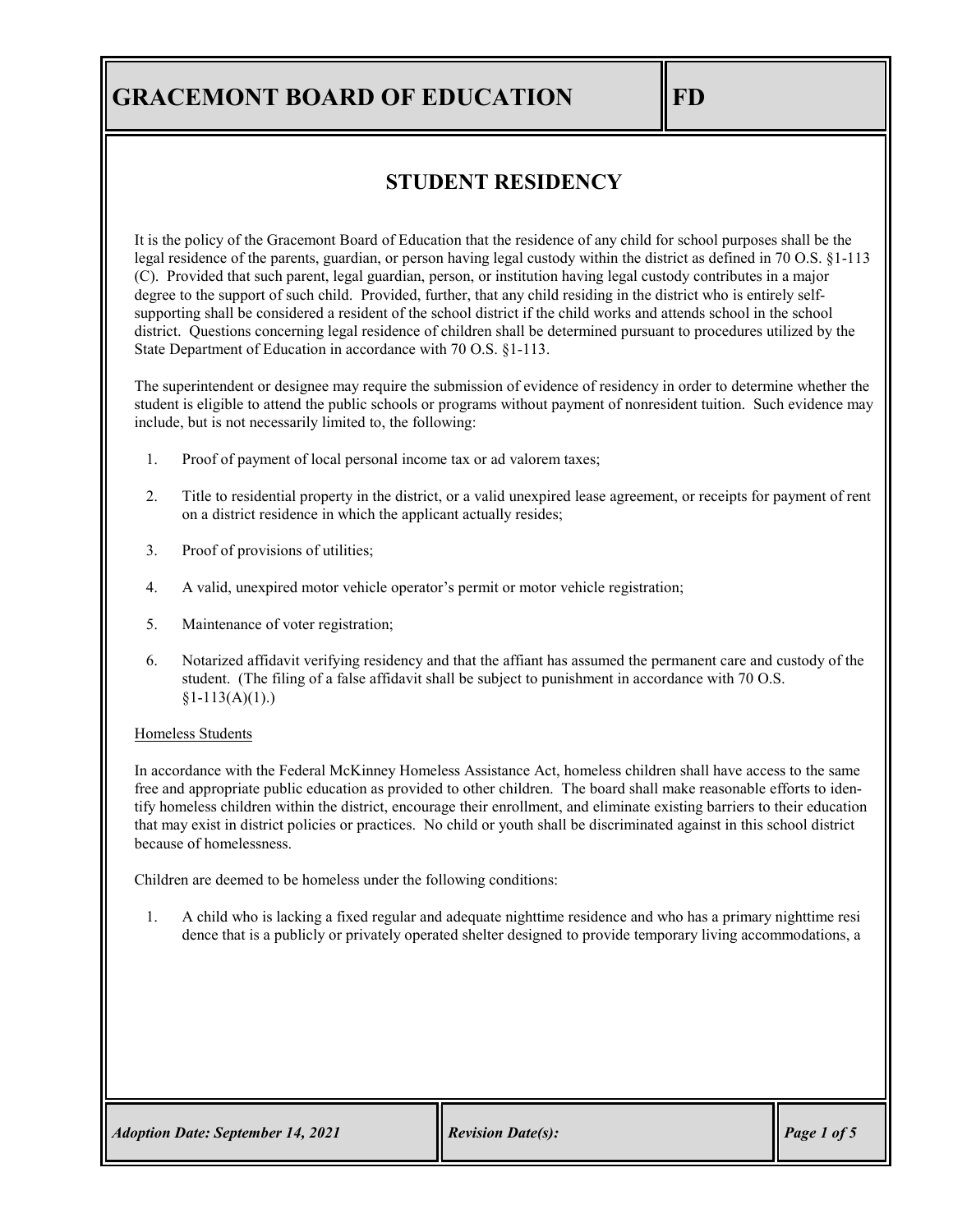### **STUDENT RESIDENCY**

It is the policy of the Gracemont Board of Education that the residence of any child for school purposes shall be the legal residence of the parents, guardian, or person having legal custody within the district as defined in 70 O.S. §1-113 (C). Provided that such parent, legal guardian, person, or institution having legal custody contributes in a major degree to the support of such child. Provided, further, that any child residing in the district who is entirely selfsupporting shall be considered a resident of the school district if the child works and attends school in the school district. Questions concerning legal residence of children shall be determined pursuant to procedures utilized by the State Department of Education in accordance with 70 O.S. §1-113.

The superintendent or designee may require the submission of evidence of residency in order to determine whether the student is eligible to attend the public schools or programs without payment of nonresident tuition. Such evidence may include, but is not necessarily limited to, the following:

- 1. Proof of payment of local personal income tax or ad valorem taxes;
- 2. Title to residential property in the district, or a valid unexpired lease agreement, or receipts for payment of rent on a district residence in which the applicant actually resides;
- 3. Proof of provisions of utilities;
- 4. A valid, unexpired motor vehicle operator's permit or motor vehicle registration;
- 5. Maintenance of voter registration;
- 6. Notarized affidavit verifying residency and that the affiant has assumed the permanent care and custody of the student. (The filing of a false affidavit shall be subject to punishment in accordance with 70 O.S.  $$1-113(A)(1).$

#### Homeless Students

In accordance with the Federal McKinney Homeless Assistance Act, homeless children shall have access to the same free and appropriate public education as provided to other children. The board shall make reasonable efforts to identify homeless children within the district, encourage their enrollment, and eliminate existing barriers to their education that may exist in district policies or practices. No child or youth shall be discriminated against in this school district because of homelessness.

Children are deemed to be homeless under the following conditions:

1. A child who is lacking a fixed regular and adequate nighttime residence and who has a primary nighttime resi dence that is a publicly or privately operated shelter designed to provide temporary living accommodations, a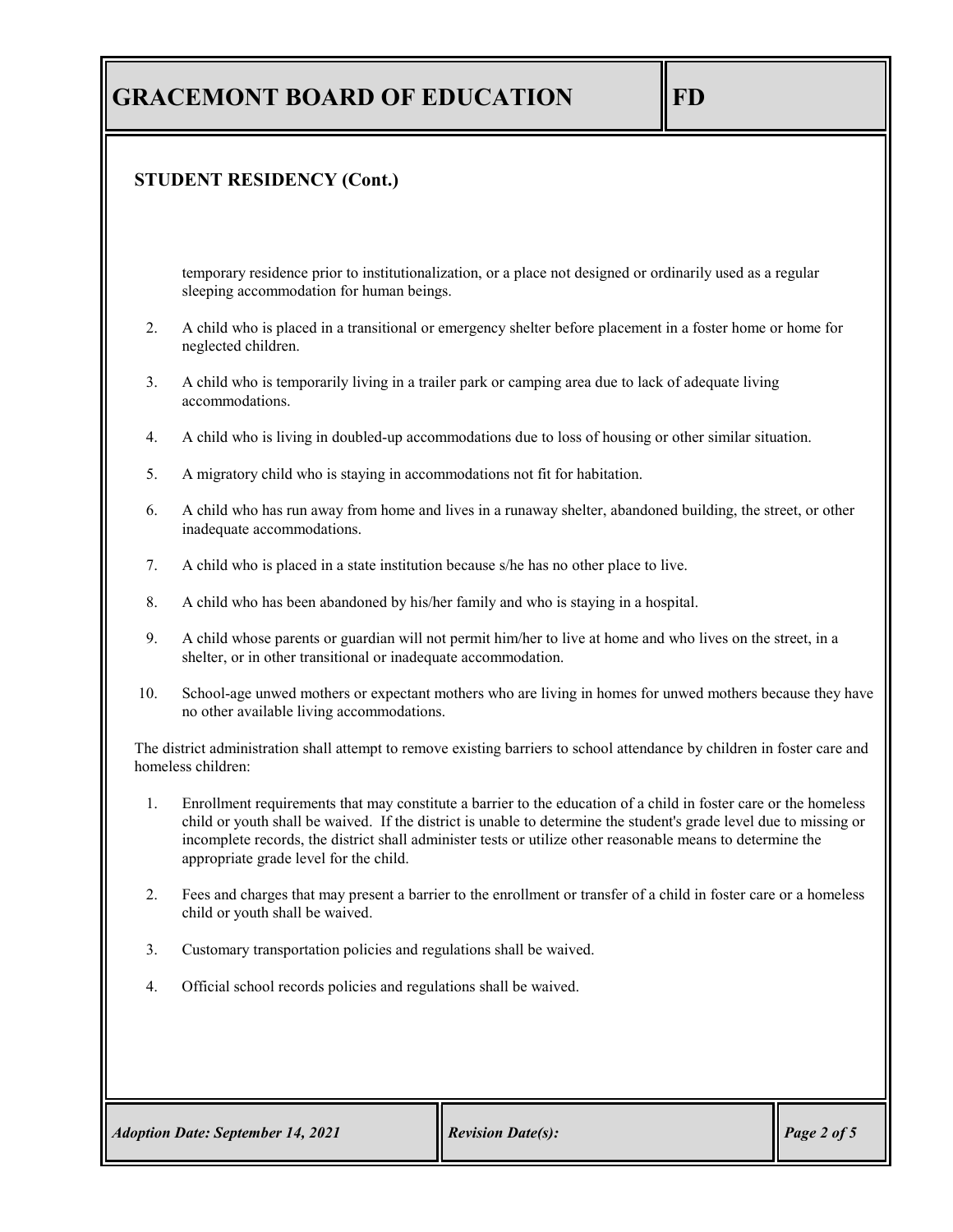### **STUDENT RESIDENCY (Cont.)**

temporary residence prior to institutionalization, or a place not designed or ordinarily used as a regular sleeping accommodation for human beings.

- 2. A child who is placed in a transitional or emergency shelter before placement in a foster home or home for neglected children.
- 3. A child who is temporarily living in a trailer park or camping area due to lack of adequate living accommodations.
- 4. A child who is living in doubled-up accommodations due to loss of housing or other similar situation.
- 5. A migratory child who is staying in accommodations not fit for habitation.
- 6. A child who has run away from home and lives in a runaway shelter, abandoned building, the street, or other inadequate accommodations.
- 7. A child who is placed in a state institution because s/he has no other place to live.
- 8. A child who has been abandoned by his/her family and who is staying in a hospital.
- 9. A child whose parents or guardian will not permit him/her to live at home and who lives on the street, in a shelter, or in other transitional or inadequate accommodation.
- 10. School-age unwed mothers or expectant mothers who are living in homes for unwed mothers because they have no other available living accommodations.

The district administration shall attempt to remove existing barriers to school attendance by children in foster care and homeless children:

- 1. Enrollment requirements that may constitute a barrier to the education of a child in foster care or the homeless child or youth shall be waived. If the district is unable to determine the student's grade level due to missing or incomplete records, the district shall administer tests or utilize other reasonable means to determine the appropriate grade level for the child.
- 2. Fees and charges that may present a barrier to the enrollment or transfer of a child in foster care or a homeless child or youth shall be waived.
- 3. Customary transportation policies and regulations shall be waived.
- 4. Official school records policies and regulations shall be waived.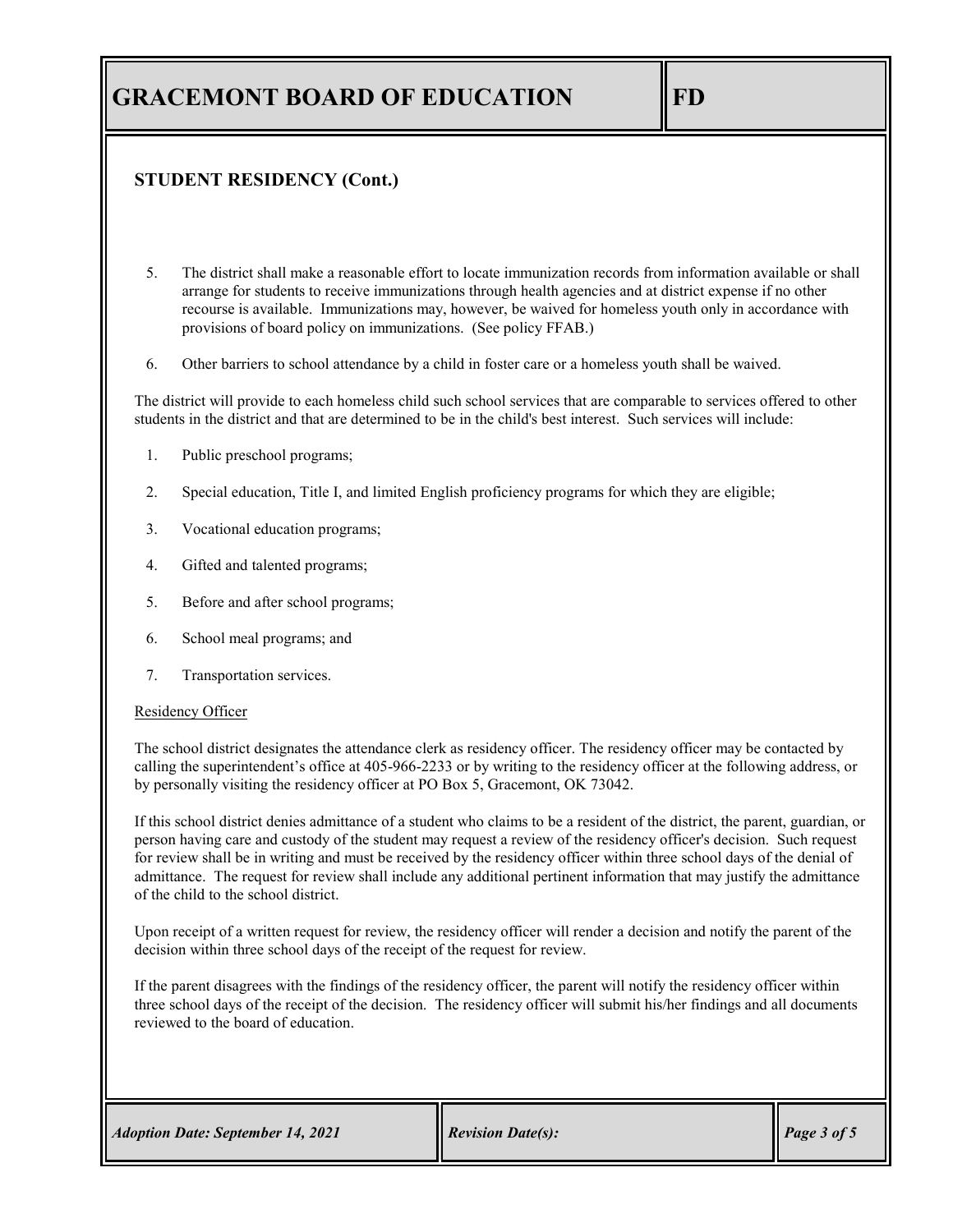### **STUDENT RESIDENCY (Cont.)**

- 5. The district shall make a reasonable effort to locate immunization records from information available or shall arrange for students to receive immunizations through health agencies and at district expense if no other recourse is available. Immunizations may, however, be waived for homeless youth only in accordance with provisions of board policy on immunizations. (See policy FFAB.)
- 6. Other barriers to school attendance by a child in foster care or a homeless youth shall be waived.

The district will provide to each homeless child such school services that are comparable to services offered to other students in the district and that are determined to be in the child's best interest. Such services will include:

- 1. Public preschool programs;
- 2. Special education, Title I, and limited English proficiency programs for which they are eligible;
- 3. Vocational education programs;
- 4. Gifted and talented programs;
- 5. Before and after school programs;
- 6. School meal programs; and
- 7. Transportation services.

#### Residency Officer

The school district designates the attendance clerk as residency officer. The residency officer may be contacted by calling the superintendent's office at 405-966-2233 or by writing to the residency officer at the following address, or by personally visiting the residency officer at PO Box 5, Gracemont, OK 73042.

If this school district denies admittance of a student who claims to be a resident of the district, the parent, guardian, or person having care and custody of the student may request a review of the residency officer's decision. Such request for review shall be in writing and must be received by the residency officer within three school days of the denial of admittance. The request for review shall include any additional pertinent information that may justify the admittance of the child to the school district.

Upon receipt of a written request for review, the residency officer will render a decision and notify the parent of the decision within three school days of the receipt of the request for review.

If the parent disagrees with the findings of the residency officer, the parent will notify the residency officer within three school days of the receipt of the decision. The residency officer will submit his/her findings and all documents reviewed to the board of education.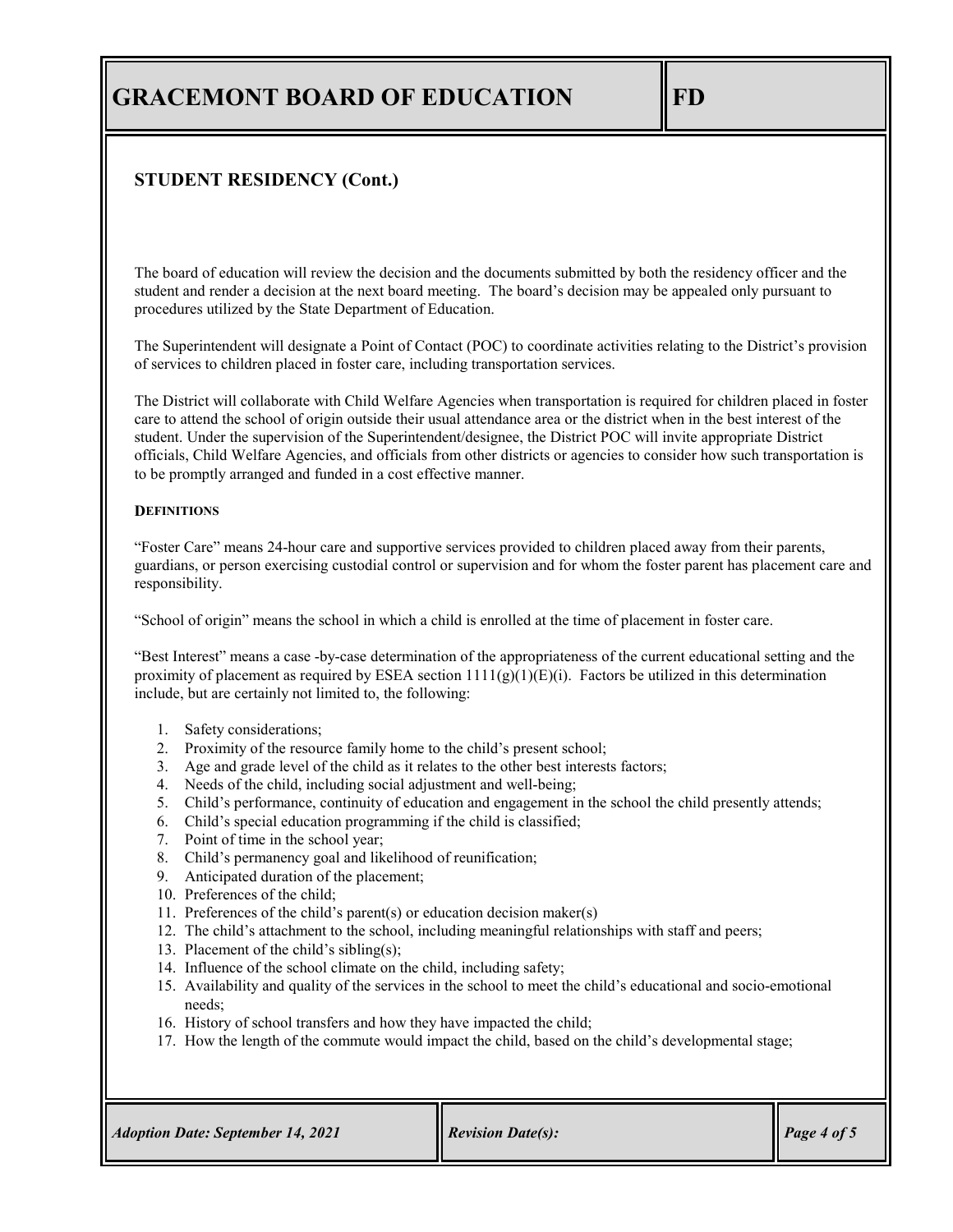### **STUDENT RESIDENCY (Cont.)**

The board of education will review the decision and the documents submitted by both the residency officer and the student and render a decision at the next board meeting. The board's decision may be appealed only pursuant to procedures utilized by the State Department of Education.

The Superintendent will designate a Point of Contact (POC) to coordinate activities relating to the District's provision of services to children placed in foster care, including transportation services.

The District will collaborate with Child Welfare Agencies when transportation is required for children placed in foster care to attend the school of origin outside their usual attendance area or the district when in the best interest of the student. Under the supervision of the Superintendent/designee, the District POC will invite appropriate District officials, Child Welfare Agencies, and officials from other districts or agencies to consider how such transportation is to be promptly arranged and funded in a cost effective manner.

#### **DEFINITIONS**

"Foster Care" means 24-hour care and supportive services provided to children placed away from their parents, guardians, or person exercising custodial control or supervision and for whom the foster parent has placement care and responsibility.

"School of origin" means the school in which a child is enrolled at the time of placement in foster care.

"Best Interest" means a case -by-case determination of the appropriateness of the current educational setting and the proximity of placement as required by ESEA section  $1111(g)(1)(E)(i)$ . Factors be utilized in this determination include, but are certainly not limited to, the following:

- 1. Safety considerations;
- 2. Proximity of the resource family home to the child's present school;
- 3. Age and grade level of the child as it relates to the other best interests factors;
- 4. Needs of the child, including social adjustment and well-being;
- 5. Child's performance, continuity of education and engagement in the school the child presently attends;
- 6. Child's special education programming if the child is classified;
- 7. Point of time in the school year;
- 8. Child's permanency goal and likelihood of reunification;
- 9. Anticipated duration of the placement;
- 10. Preferences of the child;
- 11. Preferences of the child's parent(s) or education decision maker(s)
- 12. The child's attachment to the school, including meaningful relationships with staff and peers;
- 13. Placement of the child's sibling(s);
- 14. Influence of the school climate on the child, including safety;
- 15. Availability and quality of the services in the school to meet the child's educational and socio-emotional needs;
- 16. History of school transfers and how they have impacted the child;
- 17. How the length of the commute would impact the child, based on the child's developmental stage;